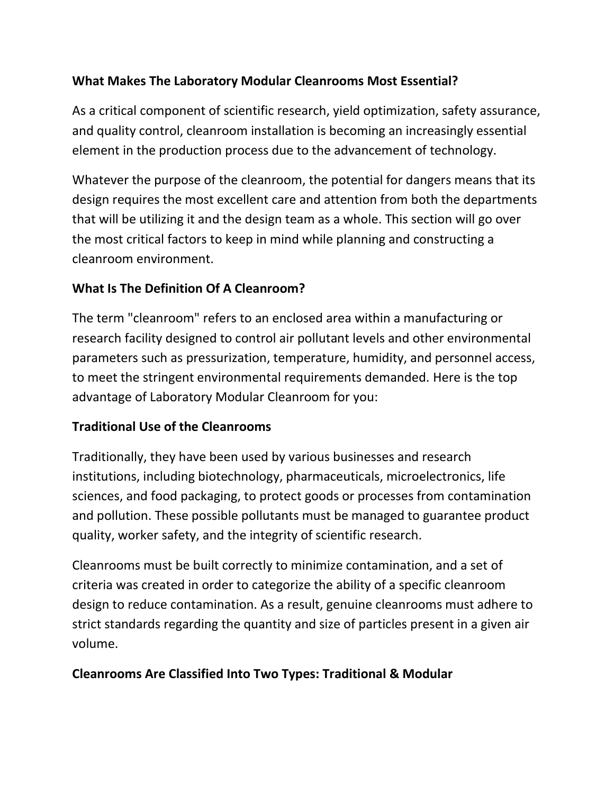## **What Makes The Laboratory Modular Cleanrooms Most Essential?**

As a critical component of scientific research, yield optimization, safety assurance, and quality control, cleanroom installation is becoming an increasingly essential element in the production process due to the advancement of technology.

Whatever the purpose of the cleanroom, the potential for dangers means that its design requires the most excellent care and attention from both the departments that will be utilizing it and the design team as a whole. This section will go over the most critical factors to keep in mind while planning and constructing a cleanroom environment.

## **What Is The Definition Of A Cleanroom?**

The term "cleanroom" refers to an enclosed area within a manufacturing or research facility designed to control air pollutant levels and other environmental parameters such as pressurization, temperature, humidity, and personnel access, to meet the stringent environmental requirements demanded. Here is the top advantage of Laboratory Modular Cleanroom for you:

## **Traditional Use of the Cleanrooms**

Traditionally, they have been used by various businesses and research institutions, including biotechnology, pharmaceuticals, microelectronics, life sciences, and food packaging, to protect goods or processes from contamination and pollution. These possible pollutants must be managed to guarantee product quality, worker safety, and the integrity of scientific research.

Cleanrooms must be built correctly to minimize contamination, and a set of criteria was created in order to categorize the ability of a specific cleanroom design to reduce contamination. As a result, genuine cleanrooms must adhere to strict standards regarding the quantity and size of particles present in a given air volume.

#### **Cleanrooms Are Classified Into Two Types: Traditional & Modular**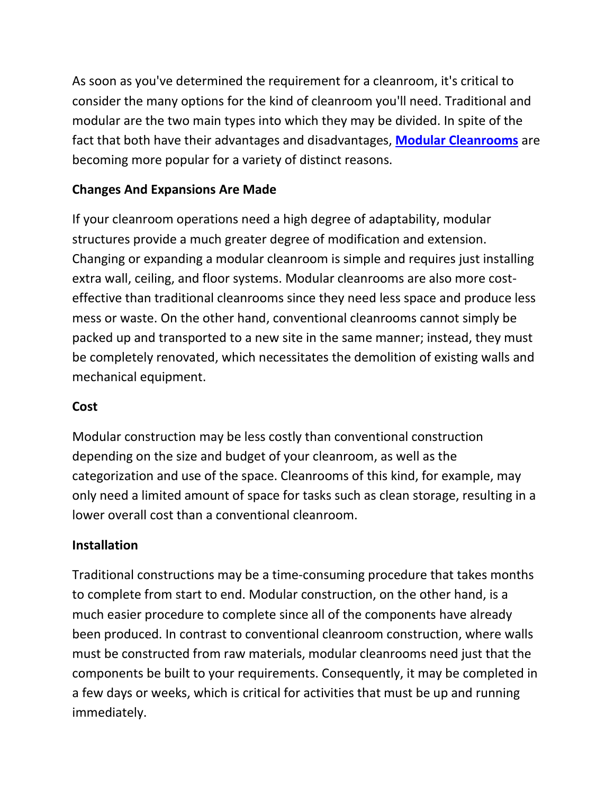As soon as you've determined the requirement for a cleanroom, it's critical to consider the many options for the kind of cleanroom you'll need. Traditional and modular are the two main types into which they may be divided. In spite of the fact that both have their advantages and disadvantages, **[Modular Cleanrooms](https://ezadcleanroom.com/modular-cleanrooms)** are becoming more popular for a variety of distinct reasons.

## **Changes And Expansions Are Made**

If your cleanroom operations need a high degree of adaptability, modular structures provide a much greater degree of modification and extension. Changing or expanding a modular cleanroom is simple and requires just installing extra wall, ceiling, and floor systems. Modular cleanrooms are also more costeffective than traditional cleanrooms since they need less space and produce less mess or waste. On the other hand, conventional cleanrooms cannot simply be packed up and transported to a new site in the same manner; instead, they must be completely renovated, which necessitates the demolition of existing walls and mechanical equipment.

#### **Cost**

Modular construction may be less costly than conventional construction depending on the size and budget of your cleanroom, as well as the categorization and use of the space. Cleanrooms of this kind, for example, may only need a limited amount of space for tasks such as clean storage, resulting in a lower overall cost than a conventional cleanroom.

## **Installation**

Traditional constructions may be a time-consuming procedure that takes months to complete from start to end. Modular construction, on the other hand, is a much easier procedure to complete since all of the components have already been produced. In contrast to conventional cleanroom construction, where walls must be constructed from raw materials, modular cleanrooms need just that the components be built to your requirements. Consequently, it may be completed in a few days or weeks, which is critical for activities that must be up and running immediately.